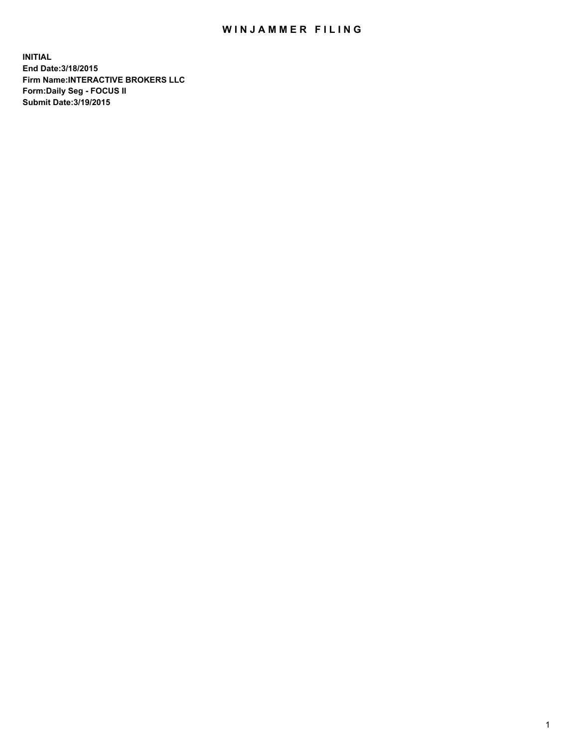## WIN JAMMER FILING

**INITIAL End Date:3/18/2015 Firm Name:INTERACTIVE BROKERS LLC Form:Daily Seg - FOCUS II Submit Date:3/19/2015**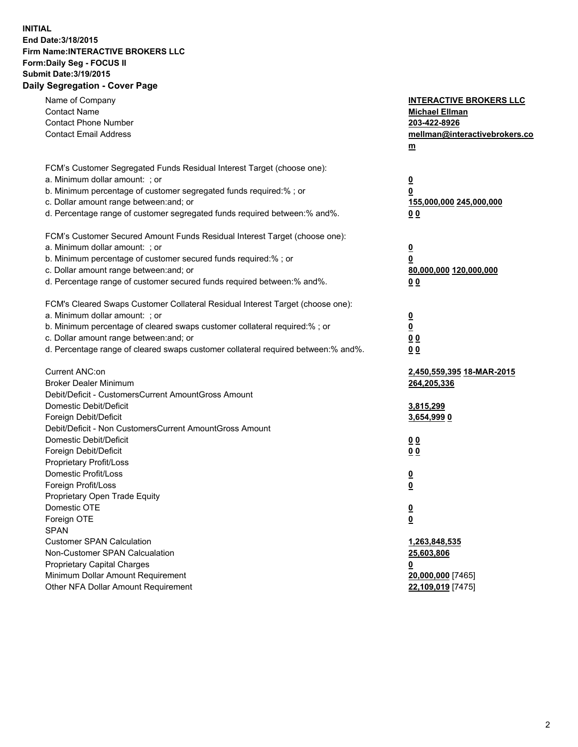## **INITIAL End Date:3/18/2015 Firm Name:INTERACTIVE BROKERS LLC Form:Daily Seg - FOCUS II Submit Date:3/19/2015 Daily Segregation - Cover Page**

| Name of Company<br><b>Contact Name</b><br><b>Contact Phone Number</b><br><b>Contact Email Address</b>    | <b>INTERACTIVE BROKERS LLC</b><br><b>Michael Ellman</b><br>203-422-8926<br>mellman@interactivebrokers.co<br>$m$ |
|----------------------------------------------------------------------------------------------------------|-----------------------------------------------------------------------------------------------------------------|
| FCM's Customer Segregated Funds Residual Interest Target (choose one):<br>a. Minimum dollar amount: ; or | $\overline{\mathbf{0}}$                                                                                         |
| b. Minimum percentage of customer segregated funds required:% ; or                                       | 0                                                                                                               |
| c. Dollar amount range between: and; or                                                                  | 155,000,000 245,000,000                                                                                         |
| d. Percentage range of customer segregated funds required between:% and%.                                | 0 <sub>0</sub>                                                                                                  |
| FCM's Customer Secured Amount Funds Residual Interest Target (choose one):                               |                                                                                                                 |
| a. Minimum dollar amount: ; or                                                                           | $\overline{\mathbf{0}}$                                                                                         |
| b. Minimum percentage of customer secured funds required:% ; or                                          | 0                                                                                                               |
| c. Dollar amount range between: and; or                                                                  | 80,000,000 120,000,000                                                                                          |
| d. Percentage range of customer secured funds required between:% and%.                                   | 0 <sub>0</sub>                                                                                                  |
| FCM's Cleared Swaps Customer Collateral Residual Interest Target (choose one):                           |                                                                                                                 |
| a. Minimum dollar amount: ; or                                                                           | $\overline{\mathbf{0}}$                                                                                         |
| b. Minimum percentage of cleared swaps customer collateral required:% ; or                               | $\overline{\mathbf{0}}$                                                                                         |
| c. Dollar amount range between: and; or                                                                  | 0 <sub>0</sub>                                                                                                  |
| d. Percentage range of cleared swaps customer collateral required between:% and%.                        | 0 <sub>0</sub>                                                                                                  |
| Current ANC:on                                                                                           | 2,450,559,395 18-MAR-2015                                                                                       |
| <b>Broker Dealer Minimum</b>                                                                             | 264,205,336                                                                                                     |
| Debit/Deficit - CustomersCurrent AmountGross Amount                                                      |                                                                                                                 |
| Domestic Debit/Deficit                                                                                   | 3,815,299                                                                                                       |
| Foreign Debit/Deficit                                                                                    | 3,654,999 0                                                                                                     |
| Debit/Deficit - Non CustomersCurrent AmountGross Amount                                                  |                                                                                                                 |
| Domestic Debit/Deficit<br>Foreign Debit/Deficit                                                          | 0 <sub>0</sub>                                                                                                  |
| Proprietary Profit/Loss                                                                                  | 0 <sub>0</sub>                                                                                                  |
| Domestic Profit/Loss                                                                                     |                                                                                                                 |
| Foreign Profit/Loss                                                                                      | $\overline{\mathbf{0}}$<br>$\underline{\mathbf{0}}$                                                             |
| Proprietary Open Trade Equity                                                                            |                                                                                                                 |
| Domestic OTE                                                                                             | <u>0</u>                                                                                                        |
| Foreign OTE                                                                                              | <u>0</u>                                                                                                        |
| <b>SPAN</b>                                                                                              |                                                                                                                 |
| <b>Customer SPAN Calculation</b>                                                                         | 1,263,848,535                                                                                                   |
| Non-Customer SPAN Calcualation                                                                           | 25,603,806                                                                                                      |
| Proprietary Capital Charges                                                                              | <u>0</u>                                                                                                        |
| Minimum Dollar Amount Requirement                                                                        | 20,000,000 [7465]                                                                                               |
| Other NFA Dollar Amount Requirement                                                                      | 22,109,019 [7475]                                                                                               |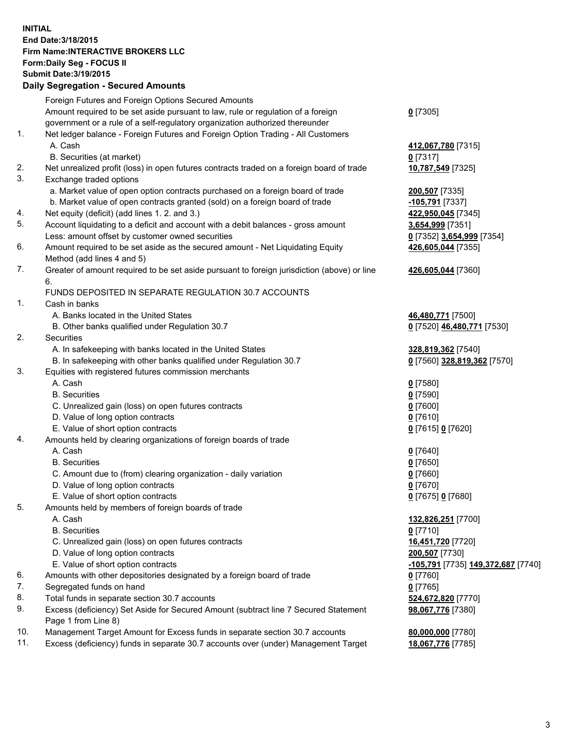## **INITIAL End Date:3/18/2015 Firm Name:INTERACTIVE BROKERS LLC Form:Daily Seg - FOCUS II Submit Date:3/19/2015 Daily Segregation - Secured Amounts**

|     | Foreign Futures and Foreign Options Secured Amounts                                         |                                    |
|-----|---------------------------------------------------------------------------------------------|------------------------------------|
|     | Amount required to be set aside pursuant to law, rule or regulation of a foreign            | $0$ [7305]                         |
|     | government or a rule of a self-regulatory organization authorized thereunder                |                                    |
| 1.  | Net ledger balance - Foreign Futures and Foreign Option Trading - All Customers             |                                    |
|     | A. Cash                                                                                     | 412,067,780 [7315]                 |
|     | B. Securities (at market)                                                                   | $0$ [7317]                         |
| 2.  | Net unrealized profit (loss) in open futures contracts traded on a foreign board of trade   | 10,787,549 [7325]                  |
| 3.  | Exchange traded options                                                                     |                                    |
|     | a. Market value of open option contracts purchased on a foreign board of trade              | 200,507 [7335]                     |
|     | b. Market value of open contracts granted (sold) on a foreign board of trade                | -105,791 [7337]                    |
| 4.  | Net equity (deficit) (add lines 1. 2. and 3.)                                               | 422,950,045 [7345]                 |
| 5.  | Account liquidating to a deficit and account with a debit balances - gross amount           | 3,654,999 [7351]                   |
|     | Less: amount offset by customer owned securities                                            | 0 [7352] 3,654,999 [7354]          |
| 6.  | Amount required to be set aside as the secured amount - Net Liquidating Equity              | 426,605,044 [7355]                 |
|     | Method (add lines 4 and 5)                                                                  |                                    |
| 7.  | Greater of amount required to be set aside pursuant to foreign jurisdiction (above) or line | 426,605,044 [7360]                 |
|     | 6.                                                                                          |                                    |
|     | FUNDS DEPOSITED IN SEPARATE REGULATION 30.7 ACCOUNTS                                        |                                    |
| 1.  | Cash in banks                                                                               |                                    |
|     | A. Banks located in the United States                                                       | 46,480,771 [7500]                  |
|     | B. Other banks qualified under Regulation 30.7                                              | 0 [7520] 46,480,771 [7530]         |
| 2.  | Securities                                                                                  |                                    |
|     | A. In safekeeping with banks located in the United States                                   | 328,819,362 [7540]                 |
|     | B. In safekeeping with other banks qualified under Regulation 30.7                          | 0 [7560] 328,819,362 [7570]        |
| 3.  | Equities with registered futures commission merchants                                       |                                    |
|     | A. Cash                                                                                     |                                    |
|     | <b>B.</b> Securities                                                                        | $0$ [7580]                         |
|     |                                                                                             | $0$ [7590]                         |
|     | C. Unrealized gain (loss) on open futures contracts<br>D. Value of long option contracts    | $0$ [7600]                         |
|     |                                                                                             | $0$ [7610]                         |
| 4.  | E. Value of short option contracts                                                          | 0 [7615] 0 [7620]                  |
|     | Amounts held by clearing organizations of foreign boards of trade<br>A. Cash                |                                    |
|     |                                                                                             | $0$ [7640]                         |
|     | <b>B.</b> Securities                                                                        | $0$ [7650]                         |
|     | C. Amount due to (from) clearing organization - daily variation                             | $0$ [7660]                         |
|     | D. Value of long option contracts                                                           | $0$ [7670]                         |
| 5.  | E. Value of short option contracts                                                          | 0 [7675] 0 [7680]                  |
|     | Amounts held by members of foreign boards of trade                                          |                                    |
|     | A. Cash                                                                                     | 132,826,251 [7700]                 |
|     | <b>B.</b> Securities                                                                        | $0$ [7710]                         |
|     | C. Unrealized gain (loss) on open futures contracts                                         | 16,451,720 [7720]                  |
|     | D. Value of long option contracts                                                           | 200,507 [7730]                     |
|     | E. Value of short option contracts                                                          | -105,791 [7735] 149,372,687 [7740] |
| 6.  | Amounts with other depositories designated by a foreign board of trade                      | $0$ [7760]                         |
| 7.  | Segregated funds on hand                                                                    | $0$ [7765]                         |
| 8.  | Total funds in separate section 30.7 accounts                                               | 524,672,820 [7770]                 |
| 9.  | Excess (deficiency) Set Aside for Secured Amount (subtract line 7 Secured Statement         | 98,067,776 [7380]                  |
|     | Page 1 from Line 8)                                                                         |                                    |
| 10. | Management Target Amount for Excess funds in separate section 30.7 accounts                 | 80,000,000 [7780]                  |
| 11. | Excess (deficiency) funds in separate 30.7 accounts over (under) Management Target          | 18,067,776 [7785]                  |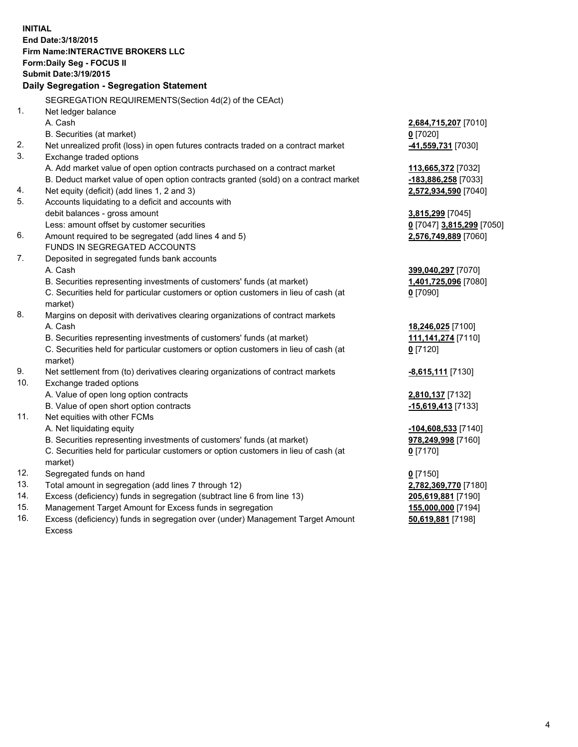**INITIAL End Date:3/18/2015 Firm Name:INTERACTIVE BROKERS LLC Form:Daily Seg - FOCUS II Submit Date:3/19/2015 Daily Segregation - Segregation Statement** SEGREGATION REQUIREMENTS(Section 4d(2) of the CEAct) 1. Net ledger balance A. Cash **2,684,715,207** [7010] B. Securities (at market) **0** [7020] 2. Net unrealized profit (loss) in open futures contracts traded on a contract market **-41,559,731** [7030] 3. Exchange traded options A. Add market value of open option contracts purchased on a contract market **113,665,372** [7032] B. Deduct market value of open option contracts granted (sold) on a contract market **-183,886,258** [7033] 4. Net equity (deficit) (add lines 1, 2 and 3) **2,572,934,590** [7040] 5. Accounts liquidating to a deficit and accounts with debit balances - gross amount **3,815,299** [7045] Less: amount offset by customer securities **0** [7047] **3,815,299** [7050] 6. Amount required to be segregated (add lines 4 and 5) **2,576,749,889** [7060] FUNDS IN SEGREGATED ACCOUNTS 7. Deposited in segregated funds bank accounts A. Cash **399,040,297** [7070] B. Securities representing investments of customers' funds (at market) **1,401,725,096** [7080] C. Securities held for particular customers or option customers in lieu of cash (at market) **0** [7090] 8. Margins on deposit with derivatives clearing organizations of contract markets A. Cash **18,246,025** [7100] B. Securities representing investments of customers' funds (at market) **111,141,274** [7110] C. Securities held for particular customers or option customers in lieu of cash (at market) **0** [7120] 9. Net settlement from (to) derivatives clearing organizations of contract markets **-8,615,111** [7130] 10. Exchange traded options A. Value of open long option contracts **2,810,137** [7132] B. Value of open short option contracts **-15,619,413** [7133] 11. Net equities with other FCMs A. Net liquidating equity **-104,608,533** [7140] B. Securities representing investments of customers' funds (at market) **978,249,998** [7160] C. Securities held for particular customers or option customers in lieu of cash (at market) **0** [7170] 12. Segregated funds on hand **0** [7150] 13. Total amount in segregation (add lines 7 through 12) **2,782,369,770** [7180] 14. Excess (deficiency) funds in segregation (subtract line 6 from line 13) **205,619,881** [7190] 15. Management Target Amount for Excess funds in segregation **155,000,000** [7194]

16. Excess (deficiency) funds in segregation over (under) Management Target Amount Excess

**50,619,881** [7198]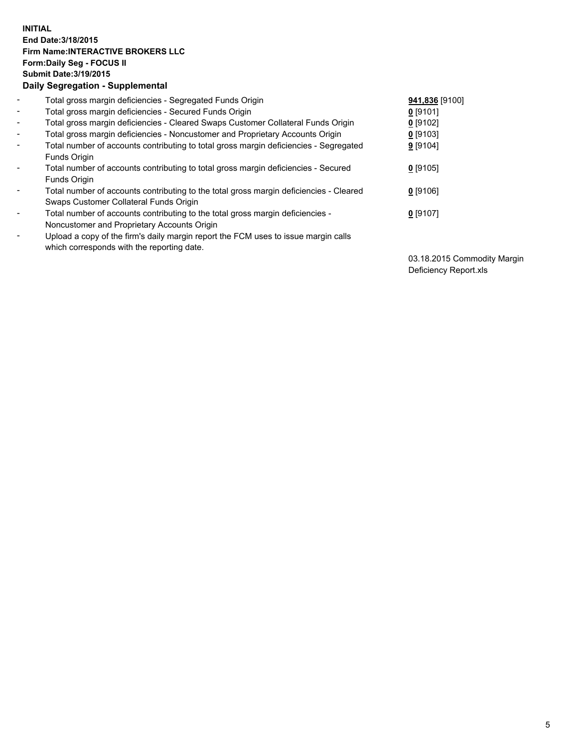## **INITIAL End Date:3/18/2015 Firm Name:INTERACTIVE BROKERS LLC Form:Daily Seg - FOCUS II Submit Date:3/19/2015 Daily Segregation - Supplemental**

| $\blacksquare$           | Total gross margin deficiencies - Segregated Funds Origin                              | 941,836 [9100] |
|--------------------------|----------------------------------------------------------------------------------------|----------------|
| $\blacksquare$           | Total gross margin deficiencies - Secured Funds Origin                                 | $0$ [9101]     |
| $\blacksquare$           | Total gross margin deficiencies - Cleared Swaps Customer Collateral Funds Origin       | $0$ [9102]     |
| $\blacksquare$           | Total gross margin deficiencies - Noncustomer and Proprietary Accounts Origin          | $0$ [9103]     |
| $\blacksquare$           | Total number of accounts contributing to total gross margin deficiencies - Segregated  | 9 [9104]       |
|                          | Funds Origin                                                                           |                |
| $\blacksquare$           | Total number of accounts contributing to total gross margin deficiencies - Secured     | $0$ [9105]     |
|                          | Funds Origin                                                                           |                |
| $\overline{\phantom{a}}$ | Total number of accounts contributing to the total gross margin deficiencies - Cleared | $0$ [9106]     |
|                          | Swaps Customer Collateral Funds Origin                                                 |                |
| -                        | Total number of accounts contributing to the total gross margin deficiencies -         | $0$ [9107]     |
|                          | Noncustomer and Proprietary Accounts Origin                                            |                |
| $\blacksquare$           | Upload a copy of the firm's daily margin report the FCM uses to issue margin calls     |                |
|                          | which corresponds with the reporting date.                                             |                |

03.18.2015 Commodity Margin Deficiency Report.xls